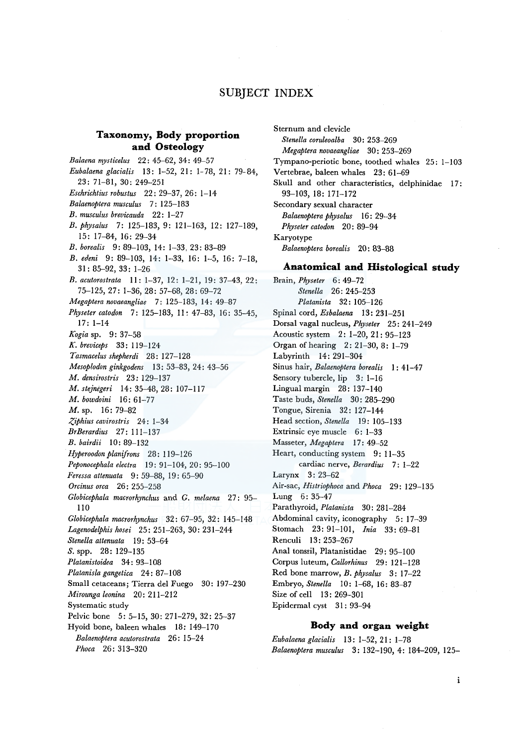# **SUBJECT INDEX**

## **Taxonomy, Body proportion and Osteology**

*Balaena mysticelus* 22: 45-62, 34: 49-57 *Eubalaena glacialis* 13: 1-52, 21 : 1- 78, 21 : 79-84, 23: 71-81, 30: 249-251 *Eschrichtius robustus* 22: 29-37, 26: 1-14 *Balaenoptera musculus* 7: 125-183 *B. mus cul us brevicauda* 22 : 1-2 7 *B. physalus* 7: 125-183, 9: 121-163, 12: 127-189, 15: 17-84, 16: 29-34 *B. borealis* 9: 89-103, 14: 1-33, 23: 83-89 *B. edeni* 9: 89-103, 14: 1-33, 16: 1-5, 16: 7-18, 31: 85-92, 33: 1-26 *B. acutorostrata* II: 1-37, 12: 1-21, 19: 37-43, 22: 75-125, 27: 1-36, 28: 57-68, 28: 69-72 *Megaptera novaeangliae* 7: 125-183, 14: 49-87 *Physeter catodon* 7: 125-183, II: 47-83, 16: 35-45, 17: 1-14 *Kogia* sp. 9: 37-58 *K. breviceps* 33: 119-124 *Tasmacelus shepherdi* 28: 127-128 *Mesoplodon ginkgodens* 13: 53-83, 24: 43-56 *M. densirostris* 23: 129-137 *M. stejnegeri* 14: 35-48, 28: 107-117 *M. bowdoini* 16: 61-77 M. sp. 16: 79-82 *-?,iphius cavirostris* 24: 1-34 *BrBerardius* 27: 111-137 *B. bairdii* 10: 89-132 *Hyperoodonplanifrons* 28: 119-126 *Peponocephala electra* 19: 91-104, 20: 95-100 *Feressa attenuata* 9: 59-88, 19: 65-90 *Orcinus orca* 26: 255-258 *Globicephala macrorhynchus* and *G. melaena* 27: 95- 110 *Globicephala macrorhynchus* 32: 67-95, 32: 145-148 *Lagenodelphis hosei* 25: 251-263, 30: 231-244 *Stenella attenuata* 19: 53-64 *S.* spp. 28: 129-135 *Platanistoidea* 34: 93-108 *Platanisla gangetica* 24: 87-108 Small cetaceans; Tierra de! Fuego 30: 197-230 *Mirounga leonina* 20: 211-212 Systematic study Pelvic bone 5: 5-15, 30: 271-279, 32: 25-37 Hyoid bone, baleen whales 18: 149-170 *Balaenoptera acutorostrata* 26: 15-24 *Phoca* 26: 313-320

Sternum and clevicle *Stenella coruleoalba* 30: 253-269 *Megaptera novaeangliae* 30: 253-269 Tympano-periotic bone, toothed whales 25: 1-103 Vertebrae, baleen whales 23: 61-69 Skull and other characteristics, delphinidae 17: 93-103, 18: 171-172 Secondary sexual character *Balaenoptera physalus* 16: 29-34 *Physeter catodon* 20: 89-94 Karyotype *Balaenoptera borealis* 20: 83-88

# **Anatomical and Histological study**

Brain, *Physeter* 6: 49-72 *Stenella* 26: 245-253 *Platanista* 32 : 105-126 Spinal cord, *Esbalaena* 13: 231-251 Dorsal vagal nucleus, *Physeter* 25: 241-249 Acoustic system 2: 1-20, 21: 95-123 Organ of hearing 2: 21-30, 8: 1-79 Labyrinth 14: 291-304 Sinus hair, *Balaenoptera borealis* I: 41-47 Sensory tubercle, lip 3: 1-16 Lingual margin 28: 137-140 Taste buds, *Stenella* 30: 285-290 Tongue, Sirenia 32: 127-144 Head section, *Stenella* 19: 105-133 Extrinsic eye muscle 6: 1-33 Masseter, *Megaptera* 17: 49-52 Heart, conducting system 9: 11-35 cardiac nerve, *Berardius* 7: 1-22 Larynx 3: 23-62 Air-sac, *Histriophoca* and *Phoca* 29: 129-135 Lung 6: 35-47 Parathyroid, *Platanista* 30: 281-284 Abdominal cavity, iconography 5: 17-39 Stomach 23: 91-101, *lnia* 33: 69-81 Renculi 13: 253-267 Anal tonssil, Platanistidae 29: 95-100 Corpus luteum, *Callorhinus* 29: 121-128 Red bone marrow, *B. physalus* 3: 17-22 Embryo, *Stenella* 10: 1-68, 16: 83-87 Size of cell 13: 269-301 Epidermal cyst 31 : 93-94

#### **Body and organ weight**

*Eubalaena glacialis* 13: 1-52, 21: 1-78 *Balaenoptera musculus* 3: 132-190, 4: 184-209, 125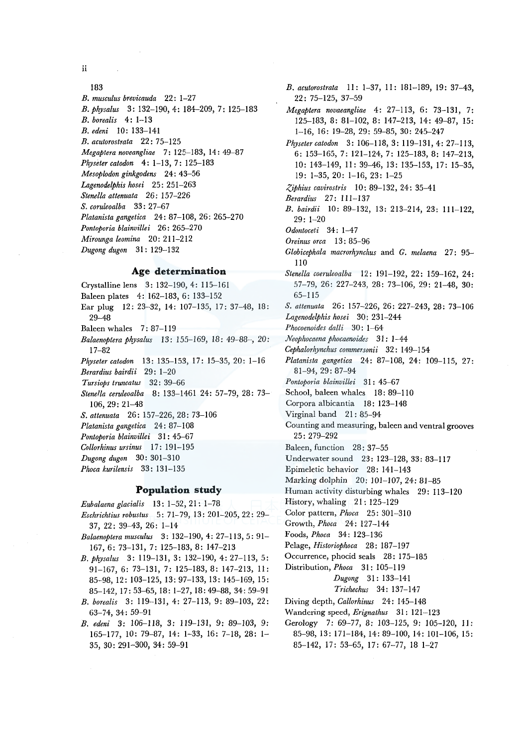ii

# 183

*B. musculus brevicauda* 22: 1-27 *B. physalus* 3: 132-190, 4: 184-209, 7: 125-183 *B. borealis* 4: 1-13 *B. edeni* 10: 133-141 *B. acutorostrata* 22: 75-125 *Megaptera noveangliae* 7: 125-183, 14: 49-87 *Physeter catodon* 4: 1-13, 7: 125-183 *Mesoplodon ginkgodens* 24: 43-56 *Lagenodelphis hosei* 25: 251-263 *Stenella attenuata* 26: 157-226 *S. coruleoalba* 33: 27-67 *Platanistagangetica* 24: 87-108, 26: 265-270 *Pontoporia blainvillei* 26: 265-270 *Mirounga leomina* 20: 211-212 *Dugong dugon* 31: 129-132

#### **Age determination**

Crystalline lens 3; 132-190, 4: 115-161 Baleen plates 4: 162-183, 6: 133-152 Ear plug 12: 23-32, 14: 107-135, 17: 37-48, 18: 29-48 Baleen whales 7:87-119 *Balaenoptera physalus* 13: 155-169, 18: 49-88-, 20: 17-82 *Physeter catodon* 13: 135-153, 17: 15-35, 20: 1-16 *Berardius bairdii* 29; 1-20 *Tursiops truncatus* 32: 39-66 *Stene/la ceruleoalba* 8: 133-1461 24: 57-79, 28: 73- 106, 29: 21-48 *S. attenuata* 26: 157-226, 28: 73-106 *Platanista gangetica* 24: 87-108 *Pontoporia blainvillei* 31 ; 45-67 *Collorhinus ursinus* 17: 191-195 *Dugong dugon* 30: 301-310 *Phoca kurilensis* 33; 131-135 **Population study** 

- *Eubalaena glacialis* 13: 1-52, 21: 1-78
- *Eschrichtius robustus* 5: 71-79, 13: 201-205, 22: 29- 37, 22: 39-43, 26: 1-14
- *Balaenoptera musculus* 3: 132-190, 4: 27-113, 5: 91- 167, 6: 73-131, 7: 125-183, 8: 147-213
- *B. physalus* 3: 119-131, 3: 132-190, 4: 27-113, 5:  $91-167$ , 6: 73-131, 7: 125-183, 8: 147-213, 11: 85-98, 12: 103-125, 13: 97-133, 13: 145-169, 15: 85-142, 17: 53-65, 18: 1-27, 18:49-88, 34:59-91
- *B. borealis* 3: 119-131, 4: 27-113, 9: 89-103, 22: 63-74, 34: 59-91
- *B. edeni* 3: 106-118, 3: 119-131, 9; 89-103, 9: 165-177, 10: 79-87, 14: 1-33, 16: 7-18, 28: 1- 35, 30: 291-300, 34: 59-91

*B. acutorostrata* 11: 1-37, 11: 181-189, 19: 37-43, 22: 75-125, 37-59 *Megaptera novaeangliae* 4: 27-113, 6: 73-131, 7: 125-183, 8: 81-102, 8: 147-213, 14: 49-87, 15: 1-16, 16: 19-28, 29: 59-85, 30: 245-247 *Physetercatodon* 3: 106-118, 3: 119-131, 4: 27-113, 6: 153-165, 7: 121-124, 7: 125-183, 8; 147-213, 10: 143-149, 11: 39-46, 13: 135-153, 17: 15-35, 19: 1-35, 20: 1-16, 23: 1-25 *,Ziphius cavirostris* 10; 89-132, 24: 35-41 *Berardius* 27: 111-137 *B. bairdii* 10: 89-132, 13: 213-214, 23: 111-122, 29: 1-20 *Odontoceti* 34; 1-4 7 *Oreinus orca* 13 : 85-96 *Globicephala macrorhynchus* and *G. melaena* 27; 95- 110 *Stenella coeruleoalba* 12; 191-192, 22; 159-162, 24: 57-79, 26: 227-243, 28: 73-106, 29: 21-48, 30: 65-115 S. *attenuata* 26: 157-226, 26: 227-243, 28: 73-106 *Lagenodelphis hosei* 30: 231-244 *Phocoenoides dalli* 30: 1-64 *Neophocaena phocaenoides* 3 I : 1-44- *Cephalorhynchus commersonii* 32: 149-154 *Platanista gangetica* 24: 87-108, 24: 109-115, 27: 81-94, 29: 87-94 *Pontoporia blainvillei* 31 : 45-67 School, baleen whales 18: 89-110 Corpora albicantia 18: 123-148 Virginal band 21:85-94 Counting and measuring, baleen and ventral grooves 25: 279-292 Baleen, function 28: 37-55 Underwater sound 23: 123-128, 33: 83-117 Epimeletic behavior 28: 141-143 Marking dolphin 20: 101-107, 24: 81-85 Human activity disturbing whales 29: 113-120 History, whaling 21; 125-129 Color pattern, *Phoca* 25: 301-310 Growth, *Phoca* 24: 127-144 Foods, *Phoca* 34: 123-136 Pelage, *Historiophoca* 28: 187-197 Occurrence, phocid seals 28: 175-185 Distribution, *Phoca* 31 : 105-119 *Dugong* 31: 133-141 *Trichechus* 34: 137-147 Diving depth, *Callorhinus* 24: 145-148 Wandering speed, *Erignathus* 31: 121-123 Gerology 7: 69-77, 8: 103-125, 9: 105-120, 11: 85-98, 13: 171-184, 14: 89-100, 14: 101-106, 15:

85-142, 17: 53-65, 17: 67-77, 18 1-27